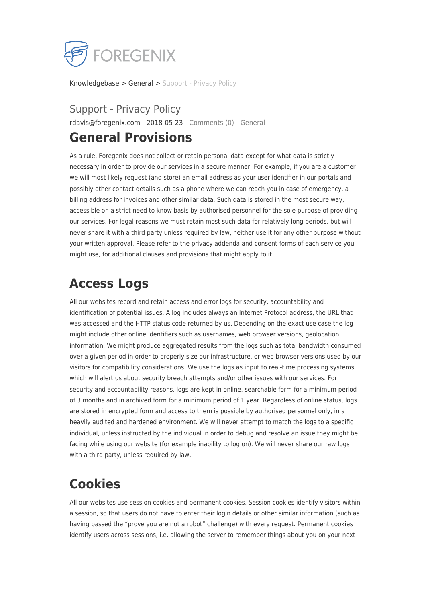

[Knowledgebase](https://support.foregenix.com/kb) > [General](https://support.foregenix.com/kb/general) > [Support - Privacy Policy](https://support.foregenix.com/kb/articles/support-privacy-policy)

#### Support - Privacy Policy

rdavis@foregenix.com - 2018-05-23 - [Comments \(0\)](#page--1-0) - [General](https://support.foregenix.com/kb/general)

#### **General Provisions**

As a rule, Foregenix does not collect or retain personal data except for what data is strictly necessary in order to provide our services in a secure manner. For example, if you are a customer we will most likely request (and store) an email address as your user identifier in our portals and possibly other contact details such as a phone where we can reach you in case of emergency, a billing address for invoices and other similar data. Such data is stored in the most secure way, accessible on a strict need to know basis by authorised personnel for the sole purpose of providing our services. For legal reasons we must retain most such data for relatively long periods, but will never share it with a third party unless required by law, neither use it for any other purpose without your written approval. Please refer to the privacy addenda and consent forms of each service you might use, for additional clauses and provisions that might apply to it.

### **Access Logs**

All our websites record and retain access and error logs for security, accountability and identification of potential issues. A log includes always an Internet Protocol address, the URL that was accessed and the HTTP status code returned by us. Depending on the exact use case the log might include other online identifiers such as usernames, web browser versions, geolocation information. We might produce aggregated results from the logs such as total bandwidth consumed over a given period in order to properly size our infrastructure, or web browser versions used by our visitors for compatibility considerations. We use the logs as input to real-time processing systems which will alert us about security breach attempts and/or other issues with our services. For security and accountability reasons, logs are kept in online, searchable form for a minimum period of 3 months and in archived form for a minimum period of 1 year. Regardless of online status, logs are stored in encrypted form and access to them is possible by authorised personnel only, in a heavily audited and hardened environment. We will never attempt to match the logs to a specific individual, unless instructed by the individual in order to debug and resolve an issue they might be facing while using our website (for example inability to log on). We will never share our raw logs with a third party, unless required by law.

### **Cookies**

All our websites use session cookies and permanent cookies. Session cookies identify visitors within a session, so that users do not have to enter their login details or other similar information (such as having passed the "prove you are not a robot" challenge) with every request. Permanent cookies identify users across sessions, i.e. allowing the server to remember things about you on your next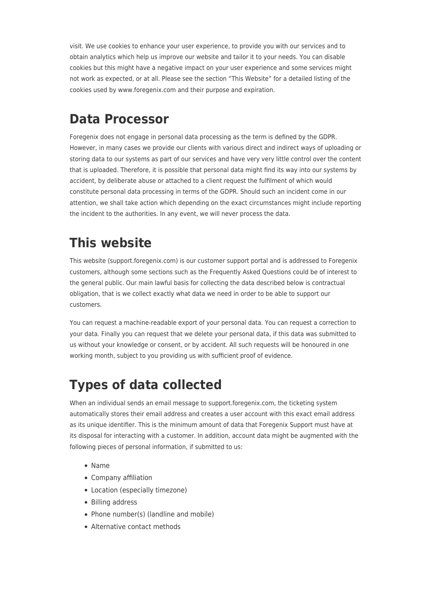visit. We use cookies to enhance your user experience, to provide you with our services and to obtain analytics which help us improve our website and tailor it to your needs. You can disable cookies but this might have a negative impact on your user experience and some services might not work as expected, or at all. Please see the section "This Website" for a detailed listing of the cookies used by www.foregenix.com and their purpose and expiration.

## **Data Processor**

Foregenix does not engage in personal data processing as the term is defined by the GDPR. However, in many cases we provide our clients with various direct and indirect ways of uploading or storing data to our systems as part of our services and have very very little control over the content that is uploaded. Therefore, it is possible that personal data might find its way into our systems by accident, by deliberate abuse or attached to a client request the fulfilment of which would constitute personal data processing in terms of the GDPR. Should such an incident come in our attention, we shall take action which depending on the exact circumstances might include reporting the incident to the authorities. In any event, we will never process the data.

## **This website**

This website (support.foregenix.com) is our customer support portal and is addressed to Foregenix customers, although some sections such as the Frequently Asked Questions could be of interest to the general public. Our main lawful basis for collecting the data described below is contractual obligation, that is we collect exactly what data we need in order to be able to support our customers.

You can request a machine-readable export of your personal data. You can request a correction to your data. Finally you can request that we delete your personal data, if this data was submitted to us without your knowledge or consent, or by accident. All such requests will be honoured in one working month, subject to you providing us with sufficient proof of evidence.

# **Types of data collected**

When an individual sends an email message to support.foregenix.com, the ticketing system automatically stores their email address and creates a user account with this exact email address as its unique identifier. This is the minimum amount of data that Foregenix Support must have at its disposal for interacting with a customer. In addition, account data might be augmented with the following pieces of personal information, if submitted to us:

- Name
- Company affiliation
- Location (especially timezone)
- Billing address
- Phone number(s) (landline and mobile)
- Alternative contact methods